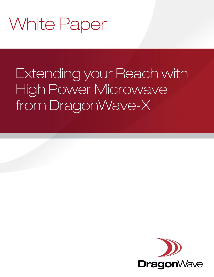# **White Paper**

## Extending your Reach with High Power Microwave from DragonWave-X

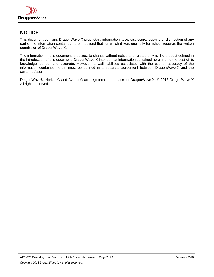

## **NOTICE**

This document contains DragonWave-X proprietary information. Use, disclosure, copying or distribution of any part of the information contained herein, beyond that for which it was originally furnished, requires the written permission of DragonWave-X.

The information in this document is subject to change without notice and relates only to the product defined in the introduction of this document. DragonWave-X intends that information contained herein is, to the best of its knowledge, correct and accurate. However, any/all liabilities associated with the use or accuracy of the information contained herein must be defined in a separate agreement between DragonWave-X and the customer/user.

DragonWave®, Horizon® and Avenue® are registered trademarks of DragonWave-X. © 2018 DragonWave-X All rights reserved.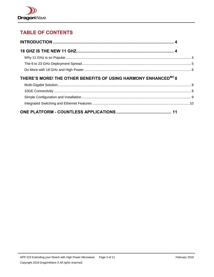

## **TABLE OF CONTENTS**

| THERE'S MORE! THE OTHER BENEFITS OF USING HARMONY ENHANCED <sup>MC</sup> 8 |  |
|----------------------------------------------------------------------------|--|
|                                                                            |  |
|                                                                            |  |
|                                                                            |  |
|                                                                            |  |
|                                                                            |  |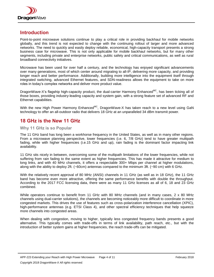

## <span id="page-3-0"></span>**Introduction**

Point-to-point microwave solutions continue to play a critical role in providing backhaul for mobile networks globally, and this trend is not expected to change with the continuing rollout of larger and more advanced networks. The need to quickly and easily deploy reliable, economical, high-capacity transport presents a strong business case for microwave. This is not only applicable for mobile backhaul networks, but for many other segments, including private and enterprise networks, public safety and critical communications, as well as rural broadband connectivity initiatives.

Microwave has been used for over half a century, and the technology has enjoyed significant advancements over many generations, most of which center around migrating to all-IP, delivering more capacity, and providing longer reach and better performance. Additionally, building more intelligence into the equipment itself through integrated switching, advanced Ethernet features, and SDN-readiness allows the equipment to take on more roles in today's complex networks and deliver more product value.

DragonWave-X's flagship high-capacity product, the dual-carrier Harmony Enhanced<sup>MC</sup>, has been ticking all of those boxes, providing industry-leading capacity and system gain, with a strong feature set of advanced RF and Ethernet capabilities.

With the new High Power Harmony Enhanced<sup>MC</sup>, DragonWave-X has taken reach to a new level using GaN technology to offer an all-outdoor radio that delivers 18 GHz at an unparalleled 34 dBm transmit power.

## <span id="page-3-1"></span>**18 GHz is the New 11 GHz**

#### <span id="page-3-2"></span>**Why 11 GHz is so Popular**

The 11 GHz band has long been a workhorse frequency in the United States, as well as in many other regions. From a microwave planning perspective, lower frequencies (i.e. 6, 7/8 GHz) tend to have greater multipath fading, while with higher frequencies (i.e.15 GHz and up), rain fading is the dominant factor impacting link availability.

11 GHz sits nicely in between, overcoming some of the multipath limitations of the lower frequencies, while not suffering from rain fading to the same extent as higher frequencies. This has made it attractive for medium to long links, and with 40 MHz channels, it offers a respectable 300+ Mbps per channel at higher modulations, along with the ability to deploy 2ft. (~60cm) antennas compared to the minimum 3ft. (~90 cm) with 6 GHz.

With the relatively recent approval of 80 MHz (ANSI) channels in 11 GHz (as well as in 18 GHz), the 11 GHz band has become even more attractive, offering the same performance benefits with double the throughput. According to the 2017 FCC licensing data, there were as many 11 GHz licenses as all of 6, 18 and 23 GHz combined.

While operators continue to benefit from 11 GHz with 80 MHz channels (and in many cases, 2 x 80 MHz channels using dual-carrier solutions), the channels are becoming noticeably more difficult to coordinate in more congested markets. This drives the use of features such as cross-polarization interference cancellation (XPIC), high-performance antennas (e.g. ETSI Class 4), and other spectral efficiency techniques that help squeeze more channels into congested areas.

When dealing with congestion, moving to higher, typically less congested frequency bands presents a good alternative. This typically comes with trade-offs in terms of link availability, path reach, etc., but with the introduction of better system gains at higher frequencies, the reach trade-offs can be mitigated.

APP-223 Extending your Reach with High Power Microwave Page 4 of 11 February 2018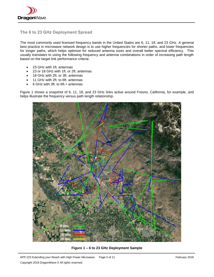

## <span id="page-4-0"></span>**The 6 to 23 GHz Deployment Spread**

The most commonly used licensed frequency bands in the United States are 6, 11, 18, and 23 GHz. A general best practice in microwave network design is to use higher frequencies for shorter paths, and lower frequencies for longer paths, which helps optimize for reduced antenna sizes and overall better spectral efficiency. This usually translates to using the following frequency and antenna combinations in order of increasing path length based on the target link performance criteria:

- 23 GHz with 1ft. antennas
- 23 or 18 GHz with 1ft. or 2ft. antennas
- 18 GHz with 2ft. or 3ft. antennas
- 11 GHz with 2ft. to 6ft. antennas
- 6 GHz with 3ft. to 6ft.+ antennas

Figure 1 shows a snapshot of 6, 11, 18, and 23 GHz links active around Fresno, California, for example, and helps illustrate the frequency versus path length relationship.



**Figure 1 – 6 to 23 GHz Deployment Sample**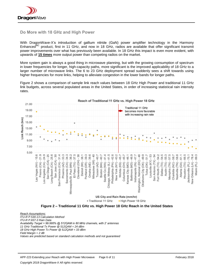

#### <span id="page-5-0"></span>**Do More with 18 GHz and High Power**

With DragonWave-X's introduction of gallium nitride (GaN) power amplifier technology in the Harmony Enhanced<sup>MC</sup> product, first in 11 GHz, and now in 18 GHz, radios are available that offer significant transmit power improvements over what has previously been available. In 18 GHz this impact is even more evident, with upwards of **15 times** more output power than competing radios on the market.

More system gain is always a good thing in microwave planning, but with the growing consumption of spectrum in lower frequencies for longer, high-capacity paths, more significant is the improved applicability of 18 GHz to a larger number of microwave links. The 6 to 23 GHz deployment spread suddenly sees a shift towards using higher frequencies for more links, helping to alleviate congestion in the lower bands for longer paths.

Figure 2 shows a comparison of sample link reach values between 18 GHz High Power and traditional 11 GHz link budgets, across several populated areas in the United States, in order of increasing statistical rain intensity rates.



*Reach Assumptions: ITU-R P.530-13 Calculation Method ITU-R P.837-3 Rain Data Availability Target = 99.995% @ 512QAM in 80 MHz channels, with 2' antennas 11 GHz Traditional Tx Power @ 512QAM = 24 dBm 18 GHz High Power Tx Power @ 512QAM = 33 dBm Field Margin = 2 dB Values are predicted based on standard calculation methods and not guaranteed*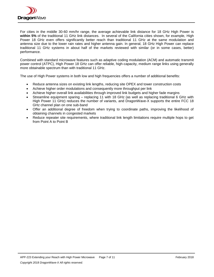

For cities in the middle 30-60 mm/hr range, the average achievable link distance for 18 GHz High Power is **within 5%** of the traditional 11 GHz link distances. In several of the California cities shown, for example, High Power 18 GHz even offers significantly better reach than traditional 11 GHz at the same modulation and antenna size due to the lower rain rates and higher antenna gain. In general, 18 GHz High Power can replace traditional 11 GHz systems in about half of the markets reviewed with similar (or in some cases, better) performance.

Combined with standard microwave features such as adaptive coding modulation (ACM) and automatic transmit power control (ATPC), High Power 18 GHz can offer reliable, high-capacity, medium range links using generally more obtainable spectrum than with traditional 11 GHz.

The use of High Power systems in both low and high frequencies offers a number of additional benefits:

- Reduce antenna sizes on existing link lengths, reducing site OPEX and tower construction costs
- Achieve higher order modulations and consequently more throughput per link
- Achieve higher overall link availabilities through improved link budgets and higher fade margins
- Streamline equipment sparing replacing 11 with 18 GHz (as well as replacing traditional 6 GHz with High Power 11 GHz) reduces the number of variants, and DragonWave-X supports the entire FCC 18 GHz channel plan on one sub-band
- Offer an additional degree of freedom when trying to coordinate paths, improving the likelihood of obtaining channels in congested markets
- Reduce repeater site requirements, where traditional link length limitations require multiple hops to get from Point A to Point B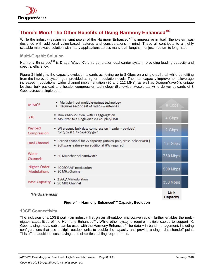

## <span id="page-7-0"></span>**There's More! The Other Benefits of Using Harmony EnhancedMC**

While the industry-leading transmit power of the Harmony Enhanced<sup>MC</sup> is impressive in itself, the system was designed with additional value-based features and considerations in mind. These all contribute to a highly scalable microwave solution with many applications across many path lengths, not just medium to long-haul.

### <span id="page-7-1"></span>**Multi-Gigabit Solution**

Harmony Enhanced<sup>MC</sup> is DragonWave-X's third-generation dual-carrier system, providing leading capacity and spectral efficiency.

Figure 3 highlights the capacity evolution towards achieving up to 8 Gbps on a single path, all while benefiting from the improved system gain provided at higher modulation levels. The main capacity improvements leverage increased modulations, wider channel implementation (80 and 112 MHz), as well as DragonWave-X's unique lossless bulk payload and header compression technology (Bandwidth Accelerator+) to deliver upwards of 8 Gbps across a single path.

| $MIMO*$                            | · Multiple-input multiple-output technology<br>Requires second set of radios & antennas                            | 8 Gbps           |
|------------------------------------|--------------------------------------------------------------------------------------------------------------------|------------------|
| $2+0$                              | • Dual radio solution, with L1 aggregation<br>• Mounted to a single dish via coupler/OMT                           | 4 Gbps           |
| Payload<br>Compression             | ■ Wire-speed bulk data compression (header + payload)<br>for typical 1.4x capacity gain                            | 2 Gbps           |
| Dual Channel                       | Second channel for 2x capacity gain (co-pole, cross-pole or XPIC)<br>· Software feature- no additional HW required | $1.5$ Gbps       |
| Wider<br>Channels                  | ■ 80 MHz channel bandwidth                                                                                         | 750 Mbps         |
| Higher Order<br><b>Modulations</b> | ■ 4096QAM* modulation<br>• 50 MHz Channel                                                                          | 500 Mbps         |
| Base Capacity                      | ■ 256QAM modulation<br>• 50 MHz Channel                                                                            | 350 Mbps         |
| *Hardware-ready                    |                                                                                                                    | Link<br>Capacity |

#### **Figure 4 – Harmony EnhancedMC Capacity Evolution**

#### <span id="page-7-2"></span>**10GE Connectivity**

The inclusion of a 10GE port - an industry first on an all-outdoor microwave radio - further enables the multigigabit capabilities of the Harmony Enhanced<sup>MC</sup>. While other systems require multiple cables to support >1 Gbps, a single data cable can be used with the Harmony Enhanced<sup>MC</sup> for data + in-band management, including configurations that use multiple outdoor units to double the capacity and provide a single data handoff point. This offers additional cost savings and simplifies cabling requirements.

APP-223 Extending your Reach with High Power Microwave Page 8 of 11 February 2018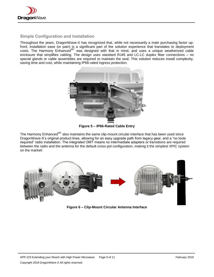

## <span id="page-8-0"></span>**Simple Configuration and Installation**

Throughout the years, DragonWave-X has recognized that, while not necessarily a main purchasing factor upfront, installation ease (or pain) is a significant part of the solution experience that translates to deployment costs. The Harmony Enhanced<sup>MC</sup> was designed with that in mind, and uses a unique weatherized cable enclosure that simplifies cabling. The design uses standard RJ45 and LC-LC duplex fiber connections – no special glands or cable assemblies are required to maintain the seal. This solution reduces install complexity, saving time and cost, while maintaining IP66-rated ingress protection.



**Figure 5 – IP66-Rated Cable Entry**

The Harmony Enhanced<sup>MC</sup> also maintains the same clip-mount circular interface that has been used since DragonWave-X's original product lines, allowing for an easy upgrade path from legacy gear, and a "no tools required" radio installation. The integrated OMT means no intermediate adapters or transitions are required between the radio and the antenna for the default cross-pol configuration, making it the simplest XPIC system on the market!



**Figure 6 – Clip-Mount Circular Antenna Interface**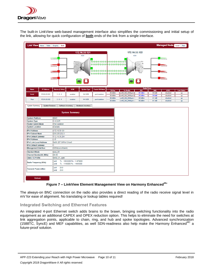

The built-in LinkView web-based management interface also simplifies the commissioning and initial setup of the link, allowing for quick configuration of **both** ends of the link from a single interface.

| Link View None Table Graphic Both                                                                                                                                                                                                                                    |                                                    |                                                        |                    |                       |                    |                                      |                                  |                  | Managed Node Local Peer |                    |
|----------------------------------------------------------------------------------------------------------------------------------------------------------------------------------------------------------------------------------------------------------------------|----------------------------------------------------|--------------------------------------------------------|--------------------|-----------------------|--------------------|--------------------------------------|----------------------------------|------------------|-------------------------|--------------------|
| 172.16.33.122<br>172.16.33.121<br><b>ACM</b><br><b>ACM</b><br>$\frac{4}{01100010}$<br>01100010<br><b>ABADA ABA</b><br>aranarana dan dan dan<br>dar dardar dardar dan dan d<br>01100010<br>nnns<br><b>x dzdzdzdzdzdzdz</b><br><b>x és ésésésésésésésé</b><br>01100010 |                                                    |                                                        |                    |                       |                    |                                      |                                  |                  |                         |                    |
| <b>Name</b><br><b>IP Address</b>                                                                                                                                                                                                                                     | Alarms (C-M-m)                                     | <b>ACM</b>                                             | <b>System Type</b> | <b>Packet SW Mode</b> | <b>TX Pwr</b>      | <b>Tx Profile</b>                    | <b>Radio Ports</b><br><b>RSL</b> | <b>SNR</b>       | <b>ATPC</b>             | <b>Link Status</b> |
| 172.16.33.121<br>Local                                                                                                                                                                                                                                               | $3 - 0 - 0$                                        | enabled                                                | 1+0 2CR            | port-isolation        | 29.0dBm<br>29.0dBm | en80_626_2048qam<br>en80_626_2048qam | $-39.1$ d $Bm$<br>$-39.2$ d $Bm$ | 39.0dB<br>39.8dB | disabled<br>disabled    | up<br>up           |
| Peer<br>172.16.33.122                                                                                                                                                                                                                                                | $3 - 0 - 0$                                        | enabled                                                | $1+0$ 2CR          | port-isolation        | 29.0dBm<br>29.0dBm | en80_626_2048qam<br>en80_626_2048qam | $-38.5$ d $Bm$<br>$-38.2$ d $Bm$ | 41.1dB<br>41.1dB | disabled<br>disabled    | <b>up</b><br>up    |
| <b>System Platform</b><br><b>System Type</b>                                                                                                                                                                                                                         | <b>EMC</b><br>$1+02CR$                             |                                                        |                    |                       |                    |                                      |                                  |                  |                         |                    |
|                                                                                                                                                                                                                                                                      |                                                    |                                                        |                    |                       |                    |                                      |                                  |                  |                         |                    |
| <b>Packet Switch Mode</b><br><b>System Location</b>                                                                                                                                                                                                                  | Port-Isolation<br>Canada                           |                                                        |                    |                       |                    |                                      |                                  |                  |                         |                    |
| <b>IPv4 Address</b>                                                                                                                                                                                                                                                  | 172.16.33.121                                      |                                                        |                    |                       |                    |                                      |                                  |                  |                         |                    |
| <b>IPv4 Subnet Mask</b>                                                                                                                                                                                                                                              | 255.255.252.0                                      |                                                        |                    |                       |                    |                                      |                                  |                  |                         |                    |
| <b>IPv4 Default Gateway</b>                                                                                                                                                                                                                                          | 172.16.35.254                                      |                                                        |                    |                       |                    |                                      |                                  |                  |                         |                    |
| <b>IPv6 Address</b>                                                                                                                                                                                                                                                  | 10                                                 |                                                        |                    |                       |                    |                                      |                                  |                  |                         |                    |
| <b>IPv6 Link Local Address</b>                                                                                                                                                                                                                                       | fe80::207:58ff:fe10:6ce0                           |                                                        |                    |                       |                    |                                      |                                  |                  |                         |                    |
| IPv6 Default Gateway                                                                                                                                                                                                                                                 |                                                    |                                                        |                    |                       |                    |                                      |                                  |                  |                         |                    |
| <b>Management Interface</b>                                                                                                                                                                                                                                          | Gi0/4(out-of-band)                                 |                                                        |                    |                       |                    |                                      |                                  |                  |                         |                    |
| <b>Standard Mode</b>                                                                                                                                                                                                                                                 | ansi 80                                            |                                                        |                    |                       |                    |                                      |                                  |                  |                         |                    |
| <b>Channel Bandwidth (MHz)</b>                                                                                                                                                                                                                                       | 80.00                                              |                                                        |                    |                       |                    |                                      |                                  |                  |                         |                    |
| <b>Static TX Profile</b>                                                                                                                                                                                                                                             | en80_91_qpsk                                       |                                                        |                    |                       |                    |                                      |                                  |                  |                         |                    |
| Radio Frequency (KHz)                                                                                                                                                                                                                                                | ch <sub>1</sub><br>ch <sub>2</sub>                 | Tx: 10955000 Rx: 11470000<br>Tx: 11160000 Rx: 11665000 |                    |                       |                    |                                      |                                  |                  |                         |                    |
| <b>Transmit Power (dBm)</b>                                                                                                                                                                                                                                          | ch <sub>1</sub><br>29.0<br>29.0<br>ch <sub>2</sub> |                                                        |                    |                       |                    |                                      |                                  |                  |                         |                    |
| Refresh                                                                                                                                                                                                                                                              |                                                    |                                                        |                    |                       |                    |                                      |                                  |                  |                         |                    |

#### **Figure 7 – LinkView Element Management View on Harmony EnhancedMC**

The always-on BNC connection on the radio also provides a direct reading of the radio receive signal level in mV for ease of alignment. No translating or lookup tables required!

#### <span id="page-9-0"></span>**Integrated Switching and Ethernet Features**

An integrated 4-port Ethernet switch adds brains to the brawn, bringing switching functionality into the radio equipment as an additional CAPEX and OPEX reduction option. This helps to eliminate the need for switches at link aggregation points, applicable to chain, ring, and hub and spoke topologies. Advanced synchronization (1588TC, SyncE) and MEF capabilities, as well SDN-readiness also help make the Harmony Enhanced<sup>MC</sup> a future-proof solution.